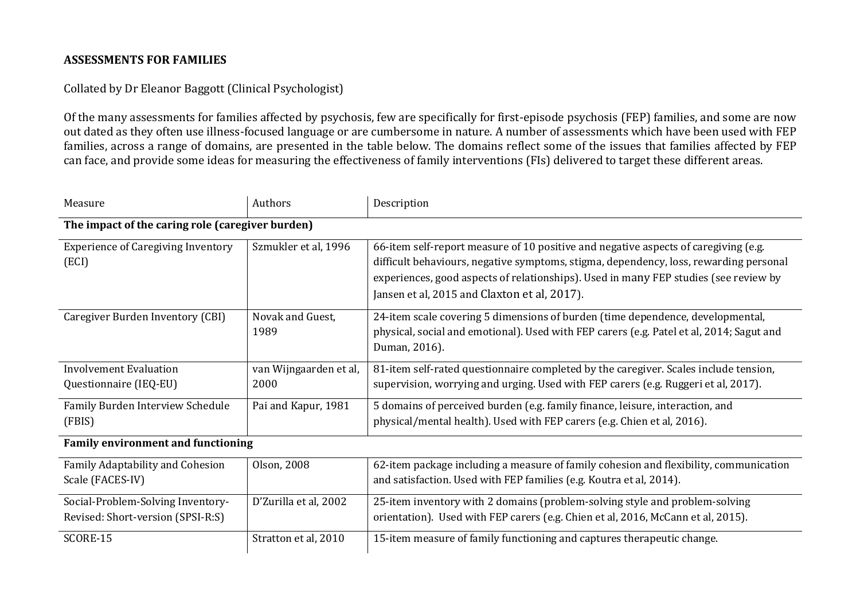## **ASSESSMENTS FOR FAMILIES**

## Collated by Dr Eleanor Baggott (Clinical Psychologist)

Of the many assessments for families affected by psychosis, few are specifically for first-episode psychosis (FEP) families, and some are now out dated as they often use illness-focused language or are cumbersome in nature. A number of assessments which have been used with FEP families, across a range of domains, are presented in the table below. The domains reflect some of the issues that families affected by FEP can face, and provide some ideas for measuring the effectiveness of family interventions (FIs) delivered to target these different areas.

| Measure                                                                | Authors                        | Description                                                                                                                                                                                                                                                                                                          |  |  |
|------------------------------------------------------------------------|--------------------------------|----------------------------------------------------------------------------------------------------------------------------------------------------------------------------------------------------------------------------------------------------------------------------------------------------------------------|--|--|
| The impact of the caring role (caregiver burden)                       |                                |                                                                                                                                                                                                                                                                                                                      |  |  |
| <b>Experience of Caregiving Inventory</b><br>(ECI)                     | Szmukler et al, 1996           | 66-item self-report measure of 10 positive and negative aspects of caregiving (e.g.<br>difficult behaviours, negative symptoms, stigma, dependency, loss, rewarding personal<br>experiences, good aspects of relationships). Used in many FEP studies (see review by<br>Jansen et al, 2015 and Claxton et al, 2017). |  |  |
| Caregiver Burden Inventory (CBI)                                       | Novak and Guest,<br>1989       | 24-item scale covering 5 dimensions of burden (time dependence, developmental,<br>physical, social and emotional). Used with FEP carers (e.g. Patel et al, 2014; Sagut and<br>Duman, 2016).                                                                                                                          |  |  |
| <b>Involvement Evaluation</b><br>Questionnaire (IEQ-EU)                | van Wijngaarden et al,<br>2000 | 81-item self-rated questionnaire completed by the caregiver. Scales include tension,<br>supervision, worrying and urging. Used with FEP carers (e.g. Ruggeri et al, 2017).                                                                                                                                           |  |  |
| Family Burden Interview Schedule<br>(FBIS)                             | Pai and Kapur, 1981            | 5 domains of perceived burden (e.g. family finance, leisure, interaction, and<br>physical/mental health). Used with FEP carers (e.g. Chien et al, 2016).                                                                                                                                                             |  |  |
| <b>Family environment and functioning</b>                              |                                |                                                                                                                                                                                                                                                                                                                      |  |  |
| Family Adaptability and Cohesion<br>Scale (FACES-IV)                   | Olson, 2008                    | 62-item package including a measure of family cohesion and flexibility, communication<br>and satisfaction. Used with FEP families (e.g. Koutra et al, 2014).                                                                                                                                                         |  |  |
| Social-Problem-Solving Inventory-<br>Revised: Short-version (SPSI-R:S) | D'Zurilla et al, 2002          | 25-item inventory with 2 domains (problem-solving style and problem-solving<br>orientation). Used with FEP carers (e.g. Chien et al, 2016, McCann et al, 2015).                                                                                                                                                      |  |  |
| SCORE-15                                                               | Stratton et al, 2010           | 15-item measure of family functioning and captures therapeutic change.                                                                                                                                                                                                                                               |  |  |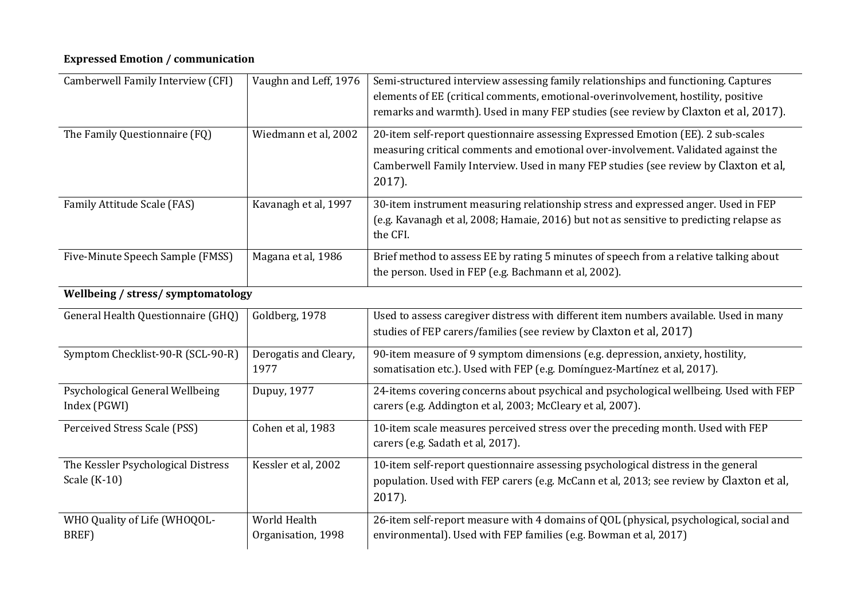## **Expressed Emotion / communication**

| Camberwell Family Interview (CFI)  | Vaughn and Leff, 1976 | Semi-structured interview assessing family relationships and functioning. Captures      |  |  |
|------------------------------------|-----------------------|-----------------------------------------------------------------------------------------|--|--|
|                                    |                       | elements of EE (critical comments, emotional-overinvolvement, hostility, positive       |  |  |
|                                    |                       | remarks and warmth). Used in many FEP studies (see review by Claxton et al, 2017).      |  |  |
| The Family Questionnaire (FQ)      | Wiedmann et al, 2002  | 20-item self-report questionnaire assessing Expressed Emotion (EE). 2 sub-scales        |  |  |
|                                    |                       | measuring critical comments and emotional over-involvement. Validated against the       |  |  |
|                                    |                       |                                                                                         |  |  |
|                                    |                       | Camberwell Family Interview. Used in many FEP studies (see review by Claxton et al,     |  |  |
|                                    |                       | $2017$ ).                                                                               |  |  |
| Family Attitude Scale (FAS)        | Kavanagh et al, 1997  | 30-item instrument measuring relationship stress and expressed anger. Used in FEP       |  |  |
|                                    |                       | (e.g. Kavanagh et al, 2008; Hamaie, 2016) but not as sensitive to predicting relapse as |  |  |
|                                    |                       | the CFI.                                                                                |  |  |
|                                    |                       |                                                                                         |  |  |
| Five-Minute Speech Sample (FMSS)   | Magana et al, 1986    | Brief method to assess EE by rating 5 minutes of speech from a relative talking about   |  |  |
|                                    |                       | the person. Used in FEP (e.g. Bachmann et al, 2002).                                    |  |  |
| Wellbeing / stress/ symptomatology |                       |                                                                                         |  |  |
| General Health Questionnaire (GHQ) | Goldberg, 1978        | Used to assess caregiver distress with different item numbers available. Used in many   |  |  |
|                                    |                       | studies of FEP carers/families (see review by Claxton et al, 2017)                      |  |  |
| Symptom Checklist-90-R (SCL-90-R)  | Derogatis and Cleary, | 90-item measure of 9 symptom dimensions (e.g. depression, anxiety, hostility,           |  |  |
|                                    | 1977                  | somatisation etc.). Used with FEP (e.g. Domínguez-Martínez et al, 2017).                |  |  |
|                                    |                       |                                                                                         |  |  |
| Psychological General Wellbeing    | Dupuy, 1977           | 24-items covering concerns about psychical and psychological wellbeing. Used with FEP   |  |  |
| Index (PGWI)                       |                       | carers (e.g. Addington et al, 2003; McCleary et al, 2007).                              |  |  |
| Perceived Stress Scale (PSS)       | Cohen et al, 1983     | 10-item scale measures perceived stress over the preceding month. Used with FEP         |  |  |
|                                    |                       | carers (e.g. Sadath et al, 2017).                                                       |  |  |
|                                    |                       |                                                                                         |  |  |
| The Kessler Psychological Distress | Kessler et al, 2002   | 10-item self-report questionnaire assessing psychological distress in the general       |  |  |
| Scale (K-10)                       |                       | population. Used with FEP carers (e.g. McCann et al, 2013; see review by Claxton et al, |  |  |
|                                    |                       | $2017$ ).                                                                               |  |  |
| WHO Quality of Life (WHOQOL-       | World Health          | 26-item self-report measure with 4 domains of QOL (physical, psychological, social and  |  |  |
| BREF)                              | Organisation, 1998    | environmental). Used with FEP families (e.g. Bowman et al, 2017)                        |  |  |
|                                    |                       |                                                                                         |  |  |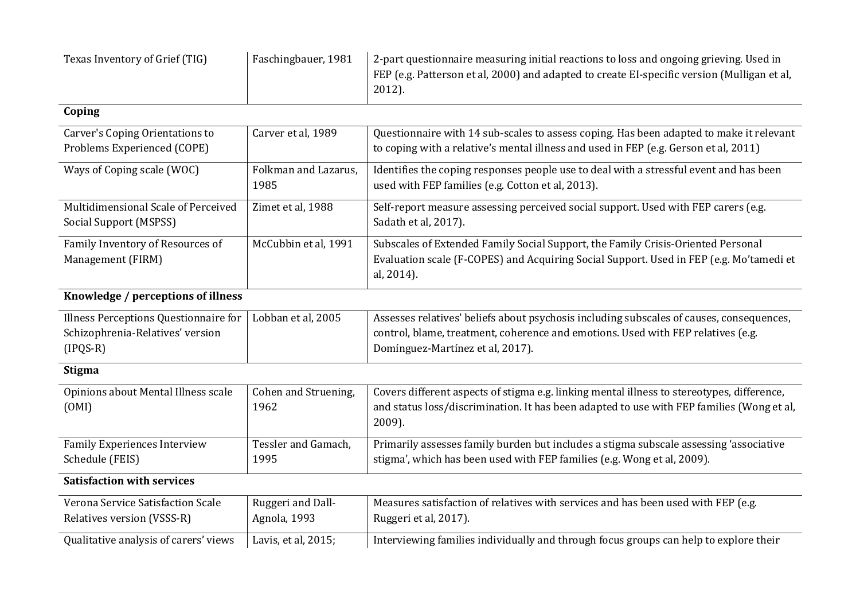| Texas Inventory of Grief (TIG)                                                          | Faschingbauer, 1981               | 2-part questionnaire measuring initial reactions to loss and ongoing grieving. Used in<br>FEP (e.g. Patterson et al, 2000) and adapted to create EI-specific version (Mulligan et al,<br>2012).                  |
|-----------------------------------------------------------------------------------------|-----------------------------------|------------------------------------------------------------------------------------------------------------------------------------------------------------------------------------------------------------------|
| Coping                                                                                  |                                   |                                                                                                                                                                                                                  |
| Carver's Coping Orientations to<br>Problems Experienced (COPE)                          | Carver et al, 1989                | Questionnaire with 14 sub-scales to assess coping. Has been adapted to make it relevant<br>to coping with a relative's mental illness and used in FEP (e.g. Gerson et al, 2011)                                  |
| Ways of Coping scale (WOC)                                                              | Folkman and Lazarus,<br>1985      | Identifies the coping responses people use to deal with a stressful event and has been<br>used with FEP families (e.g. Cotton et al, 2013).                                                                      |
| Multidimensional Scale of Perceived<br>Social Support (MSPSS)                           | Zimet et al, 1988                 | Self-report measure assessing perceived social support. Used with FEP carers (e.g.<br>Sadath et al, 2017).                                                                                                       |
| Family Inventory of Resources of<br>Management (FIRM)                                   | McCubbin et al, 1991              | Subscales of Extended Family Social Support, the Family Crisis-Oriented Personal<br>Evaluation scale (F-COPES) and Acquiring Social Support. Used in FEP (e.g. Mo'tamedi et<br>al, 2014).                        |
| Knowledge / perceptions of illness                                                      |                                   |                                                                                                                                                                                                                  |
| Illness Perceptions Questionnaire for<br>Schizophrenia-Relatives' version<br>$(IPQS-R)$ | Lobban et al, 2005                | Assesses relatives' beliefs about psychosis including subscales of causes, consequences,<br>control, blame, treatment, coherence and emotions. Used with FEP relatives (e.g.<br>Domínguez-Martínez et al, 2017). |
| <b>Stigma</b>                                                                           |                                   |                                                                                                                                                                                                                  |
| Opinions about Mental Illness scale<br>(OMI)                                            | Cohen and Struening,<br>1962      | Covers different aspects of stigma e.g. linking mental illness to stereotypes, difference,<br>and status loss/discrimination. It has been adapted to use with FEP families (Wong et al,<br>2009).                |
| <b>Family Experiences Interview</b><br>Schedule (FEIS)                                  | Tessler and Gamach,<br>1995       | Primarily assesses family burden but includes a stigma subscale assessing 'associative<br>stigma', which has been used with FEP families (e.g. Wong et al, 2009).                                                |
| <b>Satisfaction with services</b>                                                       |                                   |                                                                                                                                                                                                                  |
| Verona Service Satisfaction Scale<br>Relatives version (VSSS-R)                         | Ruggeri and Dall-<br>Agnola, 1993 | Measures satisfaction of relatives with services and has been used with FEP (e.g.<br>Ruggeri et al, 2017).                                                                                                       |
| Qualitative analysis of carers' views                                                   | Lavis, et al, 2015;               | Interviewing families individually and through focus groups can help to explore their                                                                                                                            |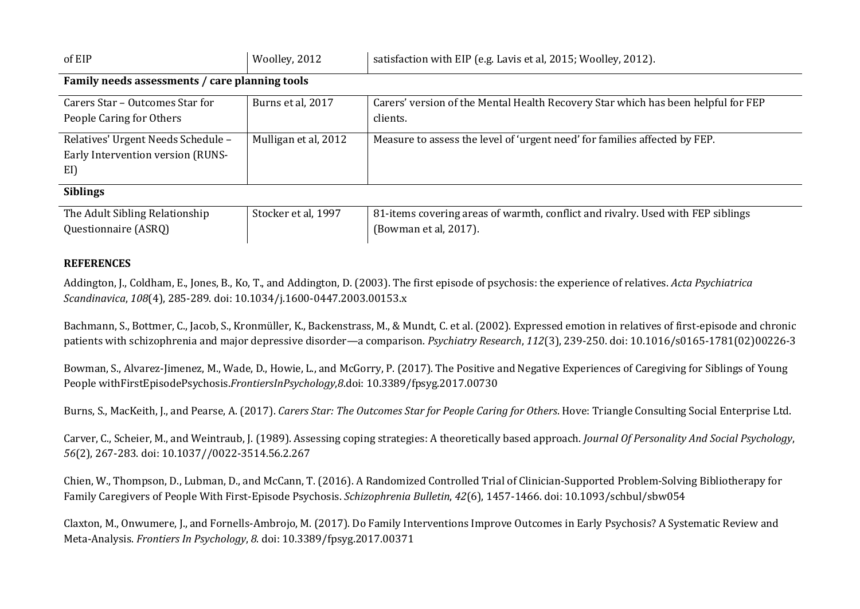| of EIP                                         | Woolley, 2012        | satisfaction with EIP (e.g. Lavis et al, 2015; Woolley, 2012).                    |  |  |  |
|------------------------------------------------|----------------------|-----------------------------------------------------------------------------------|--|--|--|
| Family needs assessments / care planning tools |                      |                                                                                   |  |  |  |
| Carers Star – Outcomes Star for                | Burns et al, 2017    | Carers' version of the Mental Health Recovery Star which has been helpful for FEP |  |  |  |
| People Caring for Others                       |                      | clients.                                                                          |  |  |  |
| Relatives' Urgent Needs Schedule -             | Mulligan et al, 2012 | Measure to assess the level of 'urgent need' for families affected by FEP.        |  |  |  |
| Early Intervention version (RUNS-              |                      |                                                                                   |  |  |  |
| EI)                                            |                      |                                                                                   |  |  |  |
| <b>Siblings</b>                                |                      |                                                                                   |  |  |  |
| The Adult Sibling Relationship                 | Stocker et al, 1997  | 81-items covering areas of warmth, conflict and rivalry. Used with FEP siblings   |  |  |  |
| Questionnaire (ASRQ)                           |                      | (Bowman et al, 2017).                                                             |  |  |  |

## **REFERENCES**

Addington, J., Coldham, E., Jones, B., Ko, T., and Addington, D. (2003). The first episode of psychosis: the experience of relatives. *Acta Psychiatrica Scandinavica*, *108*(4), 285-289. doi: 10.1034/j.1600-0447.2003.00153.x

Bachmann, S., Bottmer, C., Jacob, S., Kronmüller, K., Backenstrass, M., & Mundt, C. et al. (2002). Expressed emotion in relatives of first-episode and chronic patients with schizophrenia and major depressive disorder—a comparison. *Psychiatry Research*, *112*(3), 239-250. doi: 10.1016/s0165-1781(02)00226-3

Bowman, S., Alvarez-Jimenez, M., Wade, D., Howie, L., and McGorry, P. (2017). The Positive and Negative Experiences of Caregiving for Siblings of Young People withFirstEpisodePsychosis.*FrontiersInPsychology*,*8*.doi: 10.3389/fpsyg.2017.00730

Burns, S., MacKeith, J., and Pearse, A. (2017). Carers Star: The Outcomes Star for People Caring for Others. Hove: Triangle Consulting Social Enterprise Ltd.

Carver, C., Scheier, M., and Weintraub, J. (1989). Assessing coping strategies: A theoretically based approach. *Journal Of Personality And Social Psychology*, *56*(2), 267-283. doi: 10.1037//0022-3514.56.2.267

Chien, W., Thompson, D., Lubman, D., and McCann, T. (2016). A Randomized Controlled Trial of Clinician-Supported Problem-Solving Bibliotherapy for Family Caregivers of People With First-Episode Psychosis. *Schizophrenia Bulletin*, *42*(6), 1457-1466. doi: 10.1093/schbul/sbw054

Claxton, M., Onwumere, J., and Fornells-Ambrojo, M. (2017). Do Family Interventions Improve Outcomes in Early Psychosis? A Systematic Review and Meta-Analysis. *Frontiers In Psychology*, *8*. doi: 10.3389/fpsyg.2017.00371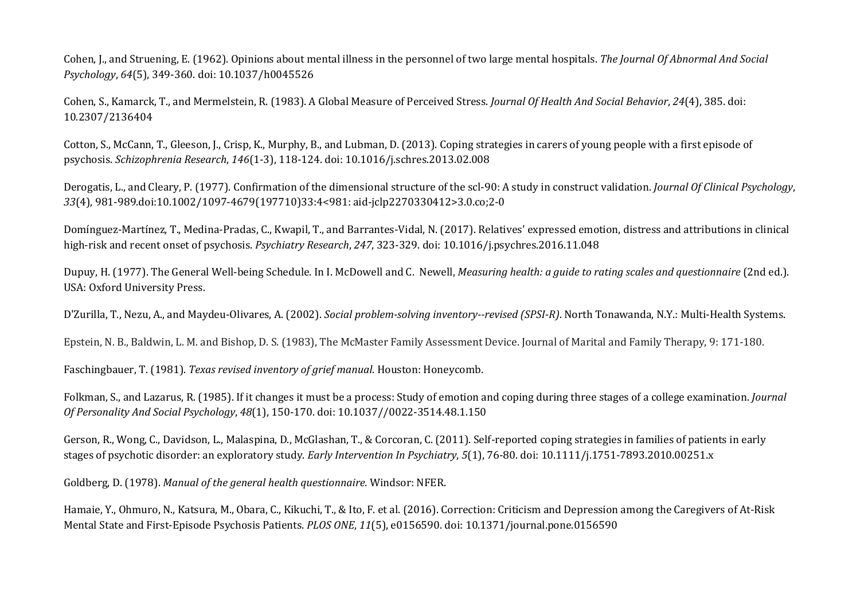Cohen, J., and Struening, E. (1962). Opinions about mental illness in the personnel of two large mental hospitals. *The Journal Of Abnormal And Social Psychology*, *64*(5), 349-360. doi: 10.1037/h0045526

Cohen, S., Kamarck, T., and Mermelstein, R. (1983). A Global Measure of Perceived Stress. *Journal Of Health And Social Behavior*, *24*(4), 385. doi: 10.2307/2136404

Cotton, S., McCann, T., Gleeson, J., Crisp, K., Murphy, B., and Lubman, D. (2013). Coping strategies in carers of young people with a first episode of psychosis. *Schizophrenia Research*, *146*(1-3), 118-124. doi: 10.1016/j.schres.2013.02.008

Derogatis, L., and Cleary, P. (1977). Confirmation of the dimensional structure of the scl-90: A study in construct validation. *Journal Of Clinical Psychology*, *33*(4), 981-989.doi:10.1002/1097-4679(197710)33:4<981: aid-jclp2270330412>3.0.co;2-0

Domínguez-Martínez, T., Medina-Pradas, C., Kwapil, T., and Barrantes-Vidal, N. (2017). Relatives' expressed emotion, distress and attributions in clinical high-risk and recent onset of psychosis. *Psychiatry Research*, *247*, 323-329. doi: 10.1016/j.psychres.2016.11.048

Dupuy, H. (1977). The General Well-being Schedule. In I. McDowell and C. Newell, *Measuring health: a guide to rating scales and questionnaire* (2nd ed.). USA: Oxford University Press.

D'Zurilla, T., Nezu, A., and Maydeu-Olivares, A. (2002). *Social problem-solving inventory--revised (SPSI-R)*. North Tonawanda, N.Y.: Multi-Health Systems.

Epstein, N. B., Baldwin, L. M. and Bishop, D. S. (1983), The McMaster Family Assessment Device. Journal of Marital and Family Therapy, 9: 171-180.

Faschingbauer, T. (1981). *Texas revised inventory of grief manual*. Houston: Honeycomb.

Folkman, S., and Lazarus, R. (1985). If it changes it must be a process: Study of emotion and coping during three stages of a college examination. *Journal Of Personality And Social Psychology*, *48*(1), 150-170. doi: 10.1037//0022-3514.48.1.150

Gerson, R., Wong, C., Davidson, L., Malaspina, D., McGlashan, T., & Corcoran, C. (2011). Self-reported coping strategies in families of patients in early stages of psychotic disorder: an exploratory study. *Early Intervention In Psychiatry*, *5*(1), 76-80. doi: 10.1111/j.1751-7893.2010.00251.x

Goldberg, D. (1978). *Manual of the general health questionnaire*. Windsor: NFER.

Hamaie, Y., Ohmuro, N., Katsura, M., Obara, C., Kikuchi, T., & Ito, F. et al. (2016). Correction: Criticism and Depression among the Caregivers of At-Risk Mental State and First-Episode Psychosis Patients. *PLOS ONE*, *11*(5), e0156590. doi: 10.1371/journal.pone.0156590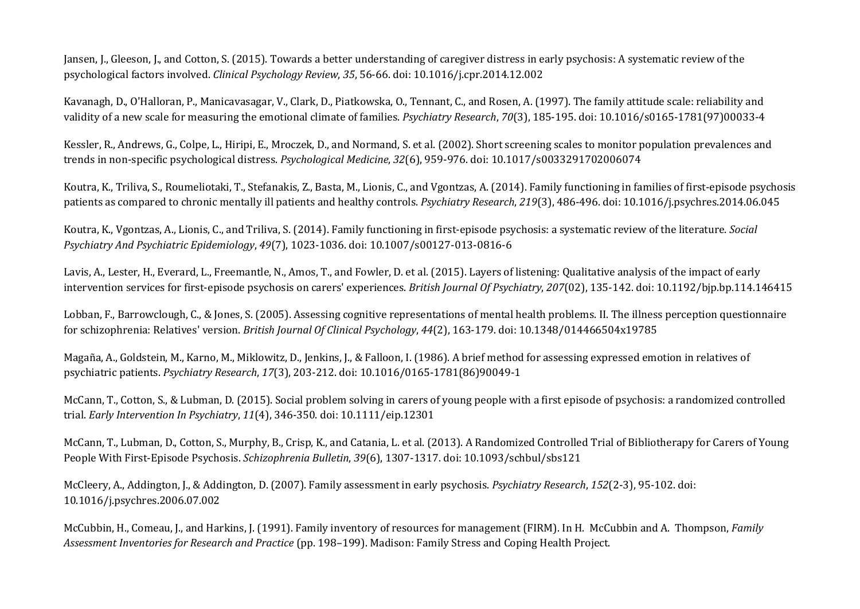Jansen, J., Gleeson, J., and Cotton, S. (2015). Towards a better understanding of caregiver distress in early psychosis: A systematic review of the psychological factors involved. *Clinical Psychology Review*, *35*, 56-66. doi: 10.1016/j.cpr.2014.12.002

Kavanagh, D., O'Halloran, P., Manicavasagar, V., Clark, D., Piatkowska, O., Tennant, C., and Rosen, A. (1997). The family attitude scale: reliability and validity of a new scale for measuring the emotional climate of families. *Psychiatry Research*, *70*(3), 185-195. doi: 10.1016/s0165-1781(97)00033-4

Kessler, R., Andrews, G., Colpe, L., Hiripi, E., Mroczek, D., and Normand, S. et al. (2002). Short screening scales to monitor population prevalences and trends in non-specific psychological distress. *Psychological Medicine*, *32*(6), 959-976. doi: 10.1017/s0033291702006074

Koutra, K., Triliva, S., Roumeliotaki, T., Stefanakis, Z., Basta, M., Lionis, C., and Vgontzas, A. (2014). Family functioning in families of first-episode psychosis patients as compared to chronic mentally ill patients and healthy controls. *Psychiatry Research*, *219*(3), 486-496. doi: 10.1016/j.psychres.2014.06.045

Koutra, K., Vgontzas, A., Lionis, C., and Triliva, S. (2014). Family functioning in first-episode psychosis: a systematic review of the literature. *Social Psychiatry And Psychiatric Epidemiology*, *49*(7), 1023-1036. doi: 10.1007/s00127-013-0816-6

Lavis, A., Lester, H., Everard, L., Freemantle, N., Amos, T., and Fowler, D. et al. (2015). Layers of listening: Qualitative analysis of the impact of early intervention services for first-episode psychosis on carers' experiences. *British Journal Of Psychiatry*, *207*(02), 135-142. doi: 10.1192/bjp.bp.114.146415

Lobban, F., Barrowclough, C., & Jones, S. (2005). Assessing cognitive representations of mental health problems. II. The illness perception questionnaire for schizophrenia: Relatives' version. *British Journal Of Clinical Psychology*, *44*(2), 163-179. doi: 10.1348/014466504x19785

Magaña, A., Goldstein, M., Karno, M., Miklowitz, D., Jenkins, J., & Falloon, I. (1986). A brief method for assessing expressed emotion in relatives of psychiatric patients. *Psychiatry Research*, *17*(3), 203-212. doi: 10.1016/0165-1781(86)90049-1

McCann, T., Cotton, S., & Lubman, D. (2015). Social problem solving in carers of young people with a first episode of psychosis: a randomized controlled trial. *Early Intervention In Psychiatry*, *11*(4), 346-350. doi: 10.1111/eip.12301

McCann, T., Lubman, D., Cotton, S., Murphy, B., Crisp, K., and Catania, L. et al. (2013). A Randomized Controlled Trial of Bibliotherapy for Carers of Young People With First-Episode Psychosis. *Schizophrenia Bulletin*, *39*(6), 1307-1317. doi: 10.1093/schbul/sbs121

McCleery, A., Addington, J., & Addington, D. (2007). Family assessment in early psychosis. *Psychiatry Research*, *152*(2-3), 95-102. doi: 10.1016/j.psychres.2006.07.002

McCubbin, H., Comeau, J., and Harkins, J. (1991). Family inventory of resources for management (FIRM). In H. McCubbin and A. Thompson, *Family Assessment Inventories for Research and Practice* (pp. 198–199). Madison: Family Stress and Coping Health Project.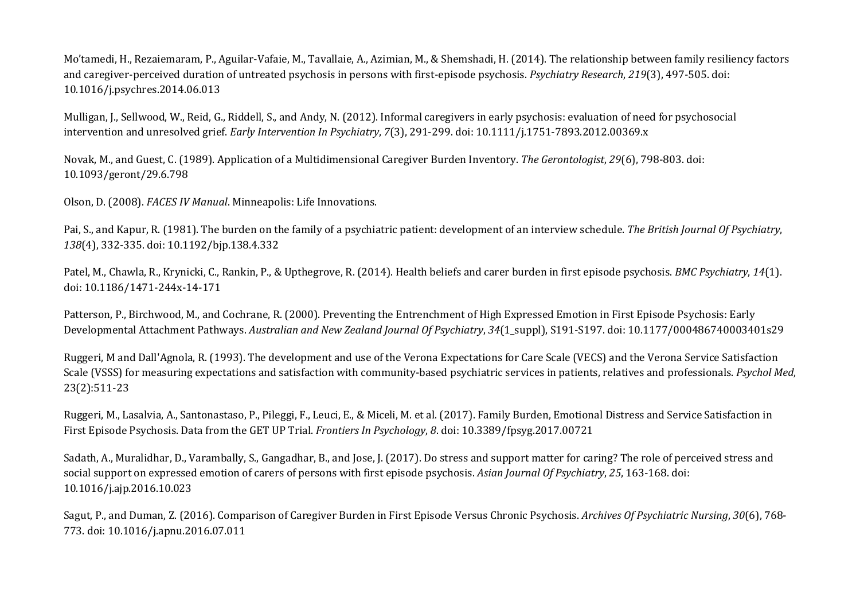Mo'tamedi, H., Rezaiemaram, P., Aguilar-Vafaie, M., Tavallaie, A., Azimian, M., & Shemshadi, H. (2014). The relationship between family resiliency factors and caregiver-perceived duration of untreated psychosis in persons with first-episode psychosis. *Psychiatry Research*, *219*(3), 497-505. doi: 10.1016/j.psychres.2014.06.013

Mulligan, J., Sellwood, W., Reid, G., Riddell, S., and Andy, N. (2012). Informal caregivers in early psychosis: evaluation of need for psychosocial intervention and unresolved grief. *Early Intervention In Psychiatry*, *7*(3), 291-299. doi: 10.1111/j.1751-7893.2012.00369.x

Novak, M., and Guest, C. (1989). Application of a Multidimensional Caregiver Burden Inventory. *The Gerontologist*, *29*(6), 798-803. doi: 10.1093/geront/29.6.798

Olson, D. (2008). *FACES IV Manual*. Minneapolis: Life Innovations.

Pai, S., and Kapur, R. (1981). The burden on the family of a psychiatric patient: development of an interview schedule. *The British Journal Of Psychiatry*, *138*(4), 332-335. doi: 10.1192/bjp.138.4.332

Patel, M., Chawla, R., Krynicki, C., Rankin, P., & Upthegrove, R. (2014). Health beliefs and carer burden in first episode psychosis. *BMC Psychiatry*, *14*(1). doi: 10.1186/1471-244x-14-171

Patterson, P., Birchwood, M., and Cochrane, R. (2000). Preventing the Entrenchment of High Expressed Emotion in First Episode Psychosis: Early Developmental Attachment Pathways. *Australian and New Zealand Journal Of Psychiatry*, *34*(1\_suppl), S191-S197. doi: 10.1177/000486740003401s29

Ruggeri, M and Dall'Agnola, R. (1993). The development and use of the Verona Expectations for Care Scale (VECS) and the Verona Service Satisfaction Scale (VSSS) for measuring expectations and satisfaction with community-based psychiatric services in patients, relatives and professionals. *Psychol Med*, 23(2):511-23

Ruggeri, M., Lasalvia, A., Santonastaso, P., Pileggi, F., Leuci, E., & Miceli, M. et al. (2017). Family Burden, Emotional Distress and Service Satisfaction in First Episode Psychosis. Data from the GET UP Trial. *Frontiers In Psychology*, *8*. doi: 10.3389/fpsyg.2017.00721

Sadath, A., Muralidhar, D., Varambally, S., Gangadhar, B., and Jose, J. (2017). Do stress and support matter for caring? The role of perceived stress and social support on expressed emotion of carers of persons with first episode psychosis. *Asian Journal Of Psychiatry*, *25*, 163-168. doi: 10.1016/j.ajp.2016.10.023

Sagut, P., and Duman, Z. (2016). Comparison of Caregiver Burden in First Episode Versus Chronic Psychosis. *Archives Of Psychiatric Nursing*, *30*(6), 768- 773. doi: 10.1016/j.apnu.2016.07.011